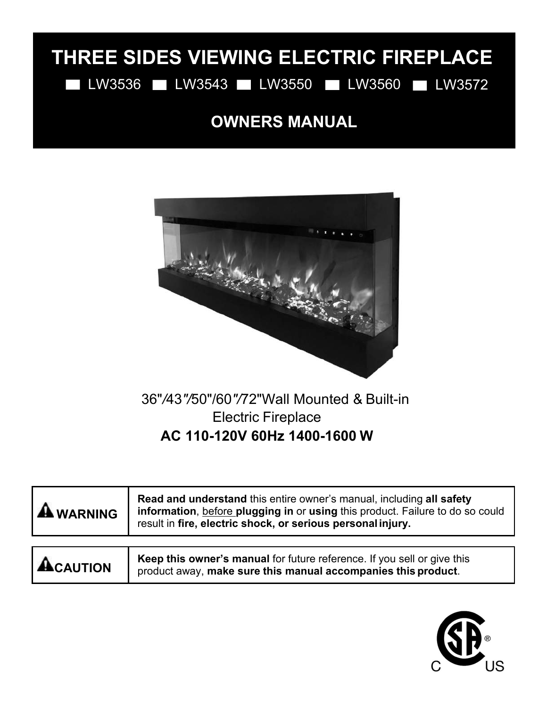# **THREE SIDES VIEWING ELECTRIC FIREPLACE**

LW3536 LW3543 LW3550 LW3560 LW3572

## **OWNERS MANUAL**



## 36"*/*43*"/*50"/60*"/*72"Wall Mounted & Built-in Electric Fireplace **AC 110-120V 60Hz 1400-1600 W**

|                | 36"/43"/50"/60"/72" Wall Mounted & Built-in<br><b>Electric Fireplace</b>                                                                                                                                             |
|----------------|----------------------------------------------------------------------------------------------------------------------------------------------------------------------------------------------------------------------|
|                | AC 110-120V 60Hz 1400-1600 W                                                                                                                                                                                         |
| <b>RNING</b>   | Read and understand this entire owner's manual, including all safety<br>information, before plugging in or using this product. Failure to do so could<br>result in fire, electric shock, or serious personal injury. |
| <b>CAUTION</b> | Keep this owner's manual for future reference. If you sell or give this<br>product away, make sure this manual accompanies this product.                                                                             |

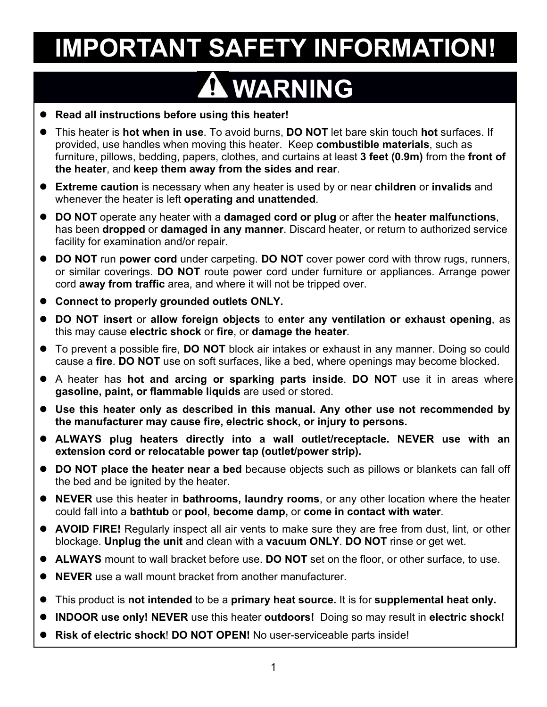# **WARNING**

- **IMPORTANT SAFETY INFORMATION!**<br> **Read all instructions before using this heater!**<br>
This heater is **hot when in use**. To avoid burns, DO NOT let bare skin touch hot surfaces. If<br>
provided, use handles when moving this heat **Read all instructions before using this heater!**<br> **Read all instructions before using this heater!**<br> **Read all instructions before using this heater!**<br> **Provided, use handles when in use**. To avoid burns, DO NOT let bare **IMPORTANT SAFETY INFORMATION!**<br>• Read all instructions before using this heater!<br>• This heater is hot when in use. To avoid burns, DO NOT let bare skin touch hot surfaces. If<br>provided, use handles when moving this heater. **IMPORTANT SAFETY INFORMATION!**<br>Read all instructions before using this heater!<br>This heater is hot when in use. To avoid burns, DO NOT let bare skin touch hot surfaces. If<br>provided, use handles when moving this heater. Kee **IMPORTANT SAFETY INFORMATION!**<br> **Read all instructions before using this heater!**<br>
This heater is hot when in use. To avoid burns, DO NOT let bare skin touch hot surfaces. If<br>
provided, use handles when moving this heater **the heater** is **herior server the heater the heater!**<br> **AWARNING**<br>
• Read all instructions before using this heater!<br>
• This heater is hot when in use. To avoid burns, DO NOT let bare skin touch hot surfaces. If<br>
provid **IMPORTANT SAFETY INFORMATION!**<br>
• Read all instructions before using this heater!<br>
• This heater is not when in use. To avoid burns, DO NOT let bare skin touch hot surfaces. If<br>
provided, use handles when moving this heat Face all instructions before using this heater!<br>This heater is hot when in use. To avoid burns, DO NOT let ba<br>provided, use handles when moving this heater. Keep combust<br>furniture, pillows, bedding, papers, clothes, and cu **■** Read all instructions before using this heater!<br>
■ This heater is hot when in use. To avoid burns, DO NOT let bare skin touch hot surfaces. If<br>
provided, use handles when moving this heater. Keep combustible materials **This heater is hot when in use.** To avoid burms, **DO NOT** let bare skin touch hot surfaces. If<br>provided, use handles when moving this heater. Keep combustible materials, such as<br>furniture, pillows, bedding, papers, clothe This heater is **hot when in use**. To avoid burns, **DO NOT** let bare skin touch **hot** surfaces. If provided, use handos when moving this heater. Keep combustible materials, such as further the fundation in the surface is th
- 
- 
- **Connect of the properly strategy and the matter of the matter of the property of the property of the property of the property of the property of the property of the property of the property of the property of the property Solution** the heater, and **keep them away from the sides and rear.**<br> **DO NOT** operate any heater with a **damaged cord or plug** or after the heater malfunctions,<br> **DO NOT** operate any heater with a **damaged cord or plug** o <ul>\n<li> <b>Extreme caution</b> is necessary when any heater is used by or near children or invalids and whenever the heater is left operating and unattended.</li>\n<li> <b>DO NOT</b> operate any heater with a damaged cord or plug or after the heater malfunctions, has been dropped or a damaged in any manner. Discard heater, or return to authorized service facility for examination and/or repair.</li>\n<li> <b>DO NOT</b> run power cord under carrying. <b>DO NOT</b> cover power cord with throw rugs, runners, or similar coverings. <b>DO NOT</b> route power cord under further or applications. Arrange power cord away from traffic area, and where it will not be tripped over.</li>\n<li> <b>Connect</b> to <b>properly grounded outlets</b> ONLY.</li>\n<li> <b>Object</b> To prevent a possible fire, <b>DO NOT **DO NOT** operate any heater with a **damaged cord or plug** or after the heater malfunctions,<br>has been dropped or damaged in any manner. Discard heater, or return to authorized service<br>facility for examination and/or repair. A heater has **hot and arcing or sparking parts** inside. Development of the manufacture may cond with throw the mean of the condition and/or repair.<br>
• **DO NOT** run power cord under carpeting. **DO NOT** cover power cord wit facility for examination and/or repair.<br> **DO NOT** run power cord under carpeting. **DO NOT** cover power cord with throw rugs<br>
or similar coverings. **DO NOT** route power cord under furniture or appliances. Arras<br>
cord **away Use this heater only as described in this manual. Any other use not recommended by**
- 
- **Connect to properly grounded outlets ONLY.**<br> **DO NOT insert** or allow foreign objects to enter any ventilation or exhaust opening<br>
this may cause electric shock or fire, or damage the heater.<br> **Converted a possible fire,**
- this may cause electric shock or fire, or damage the heater.<br>To prevent a possible fire, DO NOT block air intakes or exhaus<br>cause a fire. DO NOT use on soft surfaces, like a bed, where op<br>A heater has hot and arcing or spa
- 
- or similar coverings. DO NOT route power cord under turniture or appliances. Arrange power<br>cord away from traffic area, and where it will not be tripped over.<br>**Connect to properly grounded outlets ONLY.**<br>**this may cause el ALWAYS plug heaters directly into a wall outlet/receptacle. NEVER use with an**<br> **ALWAYS** plug heater into a wall outlet some of the manage the heater.<br> **A** heater has not and arcing or sparking parts inside. DO NOT use i **DO NOT insert or allow foreign objects to enter any ventilation or exhaust opening**, as<br> **To prevent a possible fire, DO NOT** block air intakes or exhaust in any manner. Doing so could<br>
cause a fire. DO NOT use on soft su ■ To prevent a possible fire, **DO NOT** block air intakes or exhaust in any manner. Doing so could<br> **Cause a fire. DO NOT** use on soft surfaces, like a bed, where openings may become blocked.<br>
● A heater has hot and arcriv cause a fire. **DO NOT** use on soft surfaces, like a bed, where openings may become blocked.<br>
• A heater has hot and arcing or sparking parts inside. DO NOT use it in areas where<br> **9 Use this heater only as described in thi** gasoline, paint, or flammable liquids are used or stored.<br>
Use this heater only as described in this manual. Any other use not recommended by<br>
the manufacturer may cause fire, electric shock, or injury to persons.<br>
ALWAYS ■ Use this heater only as described in this manual. Any other use not recommended by<br>
the manufacturer may cause fire, electric shock, or injury to persons.<br>
■ ALWAYS plug heaters directly into a wall outlet/receptacle. N
- 
- 
- **NEVER 1999 THE SERVIG SERVER AND THE SERVER IS CONDINGLED THE CREATED THEORY ON THE CREATED THEORY CONDINGLED THEORY ON THE DREATED ON NOT place the heater near a bed because objects such as pillows or blank the bed and b** This product is **not intended** to be a **primary heat source**. It is for supplemental heat only it is for supplemental heat only the heater of a primary rooms, or any other location where the heater is heat to heat out the ■ **INDOOR** use only! NEVER use this heater outdoors! Doing so may other location where the heater could fall into a bathtub or pool, become damp, or cany other location where the heater could fall into a bathtub or pool, **Risk of electric shock! DO NOT OPEN!** No user-serviceable parts inside!<br> **Rightary of the stock** of electric shocking the metal part of the shocker of the shockage. Upplug the unit and clean with a vacuum ONLY. DO NOT ri
- 
- 
- 
- 
- 
-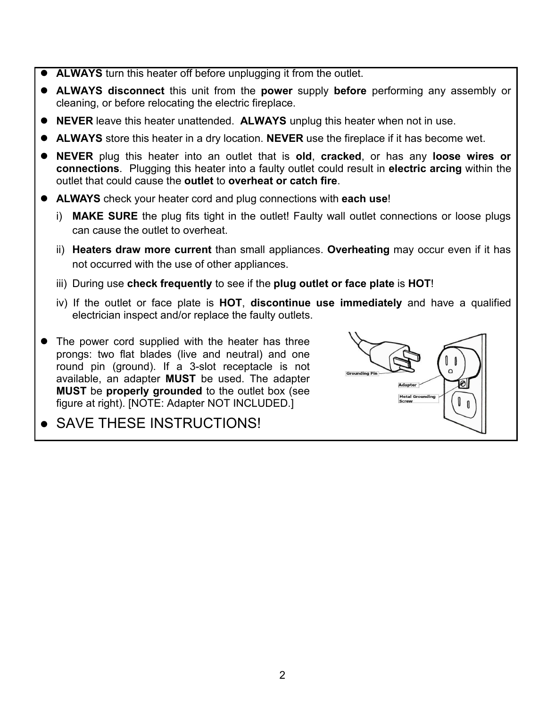- 
- **ALWAYS** turn this heater off before unplugging it from the outlet.<br>
 **ALWAYS** disconnect this unit from the power supply before performing any assembly cleaning, or before relocating the electric fireplace.<br>
 **NEVER** ■ **ALWAYS** turn this heater off before unplugging it from the outlet.<br>
■ **ALWAYS** disconnect this unit from the **power** supply **before** performing any assembly or cleaning, or before relocating the electric fireplace.<br>
■ **ALWAYS** turn this heater off before unplugging it from the outlet.<br> **ALWAYS** disconnect this unit from the power supply before performincleaning, or before relocating the electric fireplace.<br> **NEVER** leave this heater una
- 
- 
- **ALWAYS** turn this heater off before unplugging it from the outlet.<br>
 **ALWAYS** disconnect this unit from the power supply before performing any assembly or cleaning, or before relocating the electric fireplace.<br>
 **NEV** ■ **ALWAYS** turn this heater off before unplugging it from the outlet.<br>
■ **ALWAYS** disconnect this unit from the power supply before performing any assembly or cleaning, or before relocating the electric fireplace.<br>
■ **NEV ■ ALWAYS** turn this heater off before unplugging it from the outlet.<br>
■ ALWAYS disconnect this unit from the power supply before performing any assembly or<br> **● NEVER** leave this heater unattended. ALWAYS unplug this heat **connections**<br>**connect** this unit from the power supply before performing any assembly or<br>cleaning, or before relocating the electric fireplace.<br>**NEVER** leave this heater unattended. **ALWAYS** unplug this heater when not in <ul>\n<li>ALWAYS turn this heater off before unplugging it from the outlet.</li>\n<li>ALWAYS discounts disconnect this unit from the power supply before performing any assembly or cleaning, or before relocating the electric fireplace.</li>\n<li>NEVER leave this heater unattended. ALWAYS unplug this heater when not in use.</li>\n<li>ALWAYS store this heater in a dry location. NEVER use the fireplace if it has become wet.</li>\n<li>NEVER plug this heater into an outlet that is old, cracked, or has any loose wires or connections. Plugging this heater into a faulty outlet could result in electric arcing within the outlet that could cause the outlet to overhead or catch fire.</li>\n<li>ALWAYS check your heater cord and plug connections with each use!</li>\n<li>i) MAKESURE the plug fits tight in the outlet! Faulty wall outlet connections or loose plugs can cause the outlet to overheat.</li>\n **ALWAYS** turn this heater off before unplugging it from the outlet.<br> **ALWAYS** disconnect this unit from the power supply before performing any assembly or<br>
cleaning, or before relocating the electric fireplace.<br> **NEVER** le WAYS disconnect this unit from the power supply be<br>WAYS disconnect this unit from the power supply be<br>aning, or before relocating the electric fireplace.<br>VER leave this heater unattended. ALWAYS unplug this<br>WAYS store this **Exercise of the state of the state of the state of the state of the state of the state of the state of the state of the state when not in use.**<br> **ALWAYS** store this heater unattended. **ALWAYS** unplug this heater when not not occurred with the use of other appliances. **IMATYS** store this heater in a dry location. **NEVER** use the fireplace if it has become wet.<br> **NEVER** plug this heater into an outlet that is **old, cracked,** or has any **loose wires or**<br> **Connections.** Plugging this heate **NEVER** plug this heater into an outlet that is **old, cracked,** or has any **loose wires or**<br> **CONDITE CONDITE CONDITE CONDITE CONDITE CONDITE CONDITE CONDITE CONDITE CONDITE CONDITE ALWAYS check your heater cord and plug c Electrician is heater into and outlet was both the fact with the faulty outlet could result in electric and let that could cause the outlet to overheat or catch fire.**<br> **MAYS** check your heater cord and plug connections w
- -
	-
	-
	-
- **ALWAYS** check your heater cord and plug connections with each use!<br>
i) MAKE SURE the plug fits tight in the outlet! Faulty wall outlet connections c<br>
can cause the outlet to overheat.<br>
ii) Heaters draw more current than ALWAYS check your heater cord and plug connections with each use!<br>
i) MAKE SURE the plug fits tight in the outlet! Faulty wall outlet connections or<br>
can cause the outlet to overheat.<br>
ii) Heaters draw more current than s For the plug fits tight in the outlet! Faulty wall outlet connections or<br>
can cause the outlet to overheat.<br>
ii) Heaters draw more current than small appliances. Overheating may occur even<br>
not occurred with the use of ot can cause the outlet to overheat.<br>
ii) **Heaters draw more current** than small appliances. Overheating may occ<br>
not occurred with the use of other appliances.<br>
iii) During use check frequently to see if the plug outlet or f **MUST be properly grounded** to the outlet box (see the outlet box (see the outlet box (see the outlet box (see the outlet box (see the outlet box (see the outlet box (see the outlet box (see the outlet box (see the outlet ii) Heaters draw more current than small appliances. Overheating<br>not occurred with the use of other appliances.<br>iii) During use check frequently to see if the plug outlet or face plate<br>iv) If the outlet or face plate is HO i) MAKE SURE the plug fits tight in the outlet! Faulty wall out<br>can cause the outlet to overheat.<br>ii) Heaters draw more current than small appliances. Overhe<br>not occurred with the use of other appliances.<br>iii) During use c
- 

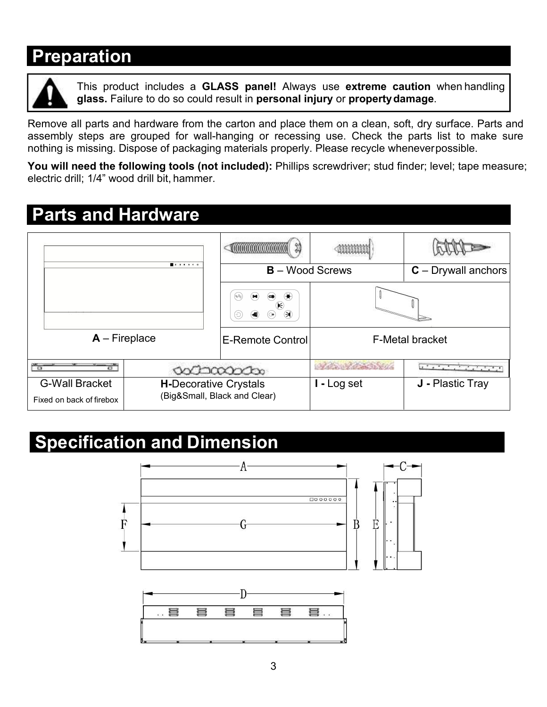## **Preparation**



**CITCIT:**<br>This product includes a **GLASS panel!** Always use **extreme caution** when handling<br>glass. Failure to do so could result in **personal injury** or **property damage**.<br>Il parts and hardware from the carton and place th **glass.** Failure to do so could result in **personal injury** or **property damage**.<br>Remove all parts and hardware from the carton and place them on a clean, soft, dry surface. Parts and<br>assembly steps are grouped for wall-ha **Preparation**<br>
This product includes a **GLASS panel!** Always use extreme caution when handling<br> **glass.** Failure to do so could result in personal injury or property damage.<br>
Remove all parts and hardware from the carton a **Preparation**<br>
This product includes a **GLASS** panel! Always use extreme caution when handling<br>
glass. Failure to do so could result in personal injury or property damage.<br>
Remove all parts and hardware from the carton and **Preparation**<br> **This product includes a GLASS panel!** Always use extreme caution when handling<br>
Remove all parts and hardware from the carton and place them on a clean, soft, dry surface. Parts and<br>
assembly steps are grou **Preparation**<br>
This product includes a GLASS panel! Always us<br>
glass. Failure to do so could result in personal injury<br>
Remove all parts and hardware from the carton and place them<br>
assembly steps are grouped for wall-hang

| <b>Preparation</b>                                                                            |                              |                                                                             |                   | This product includes a GLASS panel! Always use extreme caution when handling                                                                                                                            |
|-----------------------------------------------------------------------------------------------|------------------------------|-----------------------------------------------------------------------------|-------------------|----------------------------------------------------------------------------------------------------------------------------------------------------------------------------------------------------------|
|                                                                                               |                              | glass. Failure to do so could result in personal injury or property damage. |                   |                                                                                                                                                                                                          |
| nothing is missing. Dispose of packaging materials properly. Please recycle wheneverpossible. |                              |                                                                             |                   | Remove all parts and hardware from the carton and place them on a clean, soft, dry surface. Parts and<br>assembly steps are grouped for wall-hanging or recessing use. Check the parts list to make sure |
|                                                                                               |                              |                                                                             |                   | You will need the following tools (not included): Phillips screwdriver; stud finder; level; tape measure;                                                                                                |
| electric drill; 1/4" wood drill bit, hammer.                                                  |                              |                                                                             |                   |                                                                                                                                                                                                          |
| <b>Parts and Hardware</b>                                                                     |                              |                                                                             |                   |                                                                                                                                                                                                          |
|                                                                                               |                              |                                                                             |                   |                                                                                                                                                                                                          |
|                                                                                               |                              | <b>ANNANANANANANA</b>                                                       |                   |                                                                                                                                                                                                          |
|                                                                                               |                              | <b>B</b> – Wood Screws                                                      |                   | $C$ – Drywall anchors                                                                                                                                                                                    |
|                                                                                               |                              |                                                                             |                   |                                                                                                                                                                                                          |
| $A$ – Fireplace                                                                               |                              | <b>E-Remote Control</b>                                                     |                   | <b>F-Metal bracket</b>                                                                                                                                                                                   |
|                                                                                               |                              | dochacoocho                                                                 | Alle Patrick Will | contract products                                                                                                                                                                                        |
| <b>G-Wall Bracket</b><br>Fixed on back of firebox                                             | <b>H-Decorative Crystals</b> | (Big&Small, Black and Clear)                                                | I - Log set       | J - Plastic Tray                                                                                                                                                                                         |
|                                                                                               |                              |                                                                             |                   |                                                                                                                                                                                                          |
| <b>Specification and Dimension</b>                                                            |                              |                                                                             |                   |                                                                                                                                                                                                          |
|                                                                                               |                              |                                                                             |                   |                                                                                                                                                                                                          |
|                                                                                               |                              |                                                                             |                   |                                                                                                                                                                                                          |
|                                                                                               |                              |                                                                             | 1000000           |                                                                                                                                                                                                          |
| F                                                                                             |                              |                                                                             | Ε<br>Β            |                                                                                                                                                                                                          |

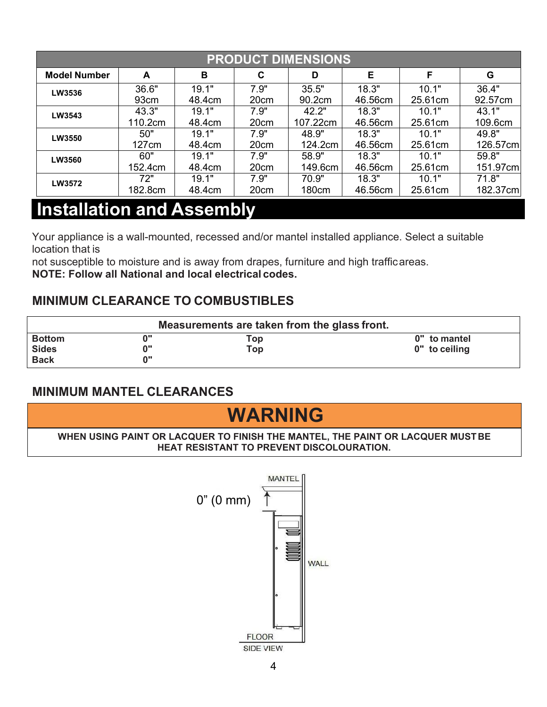|                                  |         |        |      | <b>PRODUCT DIMENSIONS</b> |         |         |          |
|----------------------------------|---------|--------|------|---------------------------|---------|---------|----------|
| <b>Model Number</b>              | A       | В      | C    | D                         | Е       | F       | G        |
| LW3536                           | 36.6"   | 19.1"  | 7.9" | 35.5"                     | 18.3"   | 10.1"   | 36.4"    |
|                                  | 93cm    | 48.4cm | 20cm | 90.2cm                    | 46.56cm | 25.61cm | 92.57cm  |
| LW3543                           | 43.3"   | 19.1"  | 7.9" | 42.2"                     | 18.3"   | 10.1"   | 43.1"    |
|                                  | 110.2cm | 48.4cm | 20cm | 107.22cm                  | 46.56cm | 25.61cm | 109.6cm  |
| LW3550                           | 50"     | 19.1"  | 7.9" | 48.9"                     | 18.3"   | 10.1"   | 49.8"    |
|                                  | 127cm   | 48.4cm | 20cm | 124.2cm                   | 46.56cm | 25.61cm | 126.57cm |
| LW3560                           | 60"     | 19.1"  | 7.9" | 58.9"                     | 18.3"   | 10.1"   | 59.8"    |
|                                  | 152.4cm | 48.4cm | 20cm | 149.6cm                   | 46.56cm | 25.61cm | 151.97cm |
| LW3572                           | 72"     | 19.1"  | 7.9" | 70.9"                     | 18.3"   | 10.1"   | 71.8"    |
|                                  | 182.8cm | 48.4cm | 20cm | 180cm                     | 46.56cm | 25.61cm | 182.37cm |
| <b>Installation and Assembly</b> |         |        |      |                           |         |         |          |

| LW3572                                                                                                                                                                                                                                                                | 72"<br>182.8cm                                                                 | 19.1"<br>48.4cm                                  | 7.9"<br>20cm      | 70.9"<br>180cm | 18.3"<br>46.56cm | 10.1"<br>25.61cm              | 71.8"<br>182.37cm |
|-----------------------------------------------------------------------------------------------------------------------------------------------------------------------------------------------------------------------------------------------------------------------|--------------------------------------------------------------------------------|--------------------------------------------------|-------------------|----------------|------------------|-------------------------------|-------------------|
| <b>Installation and Assembly</b>                                                                                                                                                                                                                                      |                                                                                |                                                  |                   |                |                  |                               |                   |
| Your appliance is a wall-mounted, recessed and/or mantel installed appliance. Select a suitable<br>location that is<br>not susceptible to moisture and is away from drapes, furniture and high trafficareas.<br>NOTE: Follow all National and local electrical codes. |                                                                                |                                                  |                   |                |                  |                               |                   |
| <b>MINIMUM CLEARANCE TO COMBUSTIBLES</b>                                                                                                                                                                                                                              |                                                                                |                                                  |                   |                |                  |                               |                   |
|                                                                                                                                                                                                                                                                       |                                                                                | Measurements are taken from the glass front.     |                   |                |                  |                               |                   |
| <b>Bottom</b><br><b>Sides</b><br><b>Back</b>                                                                                                                                                                                                                          | 0"<br>0"<br>0"                                                                 |                                                  | Top<br><b>Top</b> |                |                  | 0" to mantel<br>0" to ceiling |                   |
| <b>MINIMUM MANTEL CLEARANCES</b>                                                                                                                                                                                                                                      |                                                                                |                                                  |                   |                |                  |                               |                   |
|                                                                                                                                                                                                                                                                       |                                                                                |                                                  | <b>WARNING</b>    |                |                  |                               |                   |
|                                                                                                                                                                                                                                                                       | WHEN USING PAINT OR LACQUER TO FINISH THE MANTEL, THE PAINT OR LACQUER MUST BE | <b>HEAT RESISTANT TO PREVENT DISCOLOURATION.</b> |                   |                |                  |                               |                   |
|                                                                                                                                                                                                                                                                       |                                                                                | $0''(0 \text{ mm})$                              | <b>MANTEL</b>     |                |                  |                               |                   |



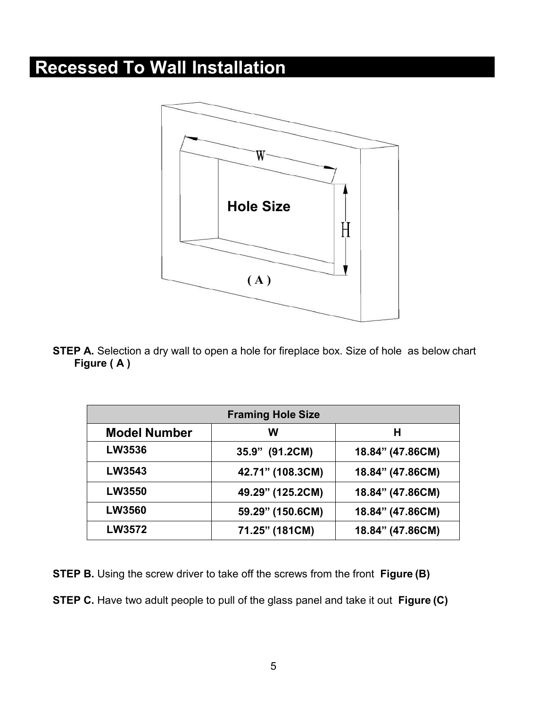

|                     | <b>Framing Hole Size</b> |                  |
|---------------------|--------------------------|------------------|
| <b>Model Number</b> | W                        | H                |
| <b>LW3536</b>       | 35.9" (91.2CM)           | 18.84" (47.86CM) |
| <b>LW3543</b>       | 42.71" (108.3CM)         | 18.84" (47.86CM) |
| <b>LW3550</b>       | 49.29" (125.2CM)         | 18.84" (47.86CM) |
| <b>LW3560</b>       | 59.29" (150.6CM)         | 18.84" (47.86CM) |
| <b>LW3572</b>       | 71.25" (181CM)           | 18.84" (47.86CM) |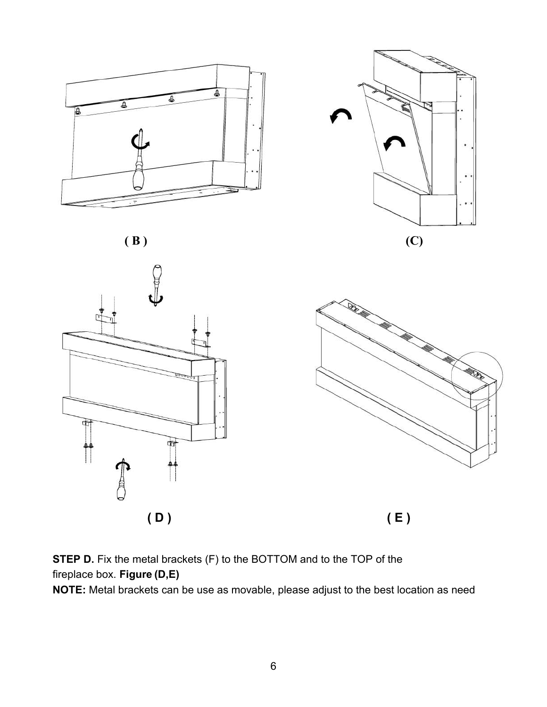







**STEP D.** Fix the metal brackets (F) to the BOTTOM and to the TOP of the fireplace box. **Figure (D,E)**

**NOTE:** Metal brackets can be use as movable, please adjust to the best location as need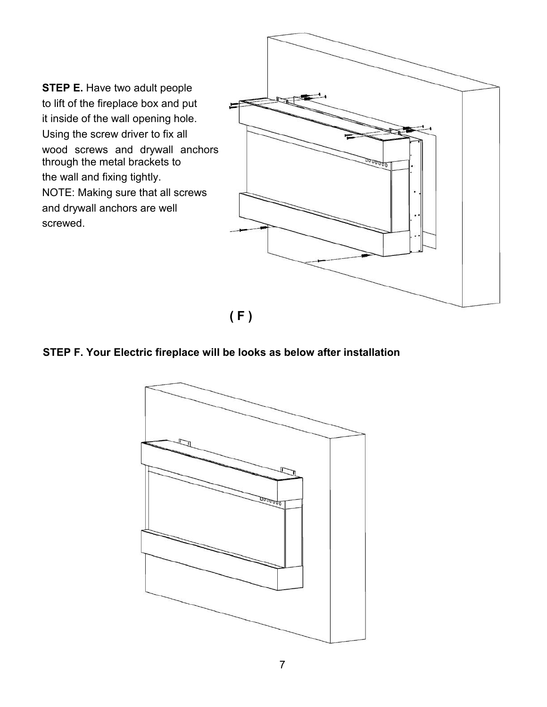**STEP E.** Have two adult people<br>to lift of the fireplace box and put<br>it inside of the wall opening hole.<br>Using the screw driver to fix all STEP E. Have two adult people<br>to lift of the fireplace box and put<br>it inside of the wall opening hole.<br>Using the screw driver to fix all<br>wood screws and drywall anchors<br>through the metal brackets to STEP E. Have two adult people<br>to lift of the fireplace box and put<br>it inside of the wall opening hole.<br>Using the screw driver to fix all<br>wood screws and drywall anchors<br>through the metal brackets to<br>ware used and fixing ti STEP E. Have two adult people<br>to lift of the fireplace box and put<br>it inside of the wall opening hole.<br>Using the screw driver to fix all<br>wood screws and drywall anchors<br>through the metal brackets to<br>the wall and fixing tig STEP E. Have two adult people<br>to lift of the fireplace box and put<br>it inside of the wall opening hole.<br>Using the screw driver to fix all<br>wood screws and drywall anchors<br>through the metal brackets to<br>the wall and fixing tig STEP E. Have two adult people<br>to lift of the fireplace box and put<br>it inside of the wall opening hole.<br>Using the screw driver to fix all<br>wood screws and drywall anchors<br>through the metal brackets to<br>the wall and fixing tig STEP E. Have two adult people<br>to lift of the fireplace box and put<br>it inside of the wall opening hole.<br>Using the screw driver to fix all<br>wood screws and drywall anchors<br>through the metal brackets to<br>the wall and fixing tig screwed.



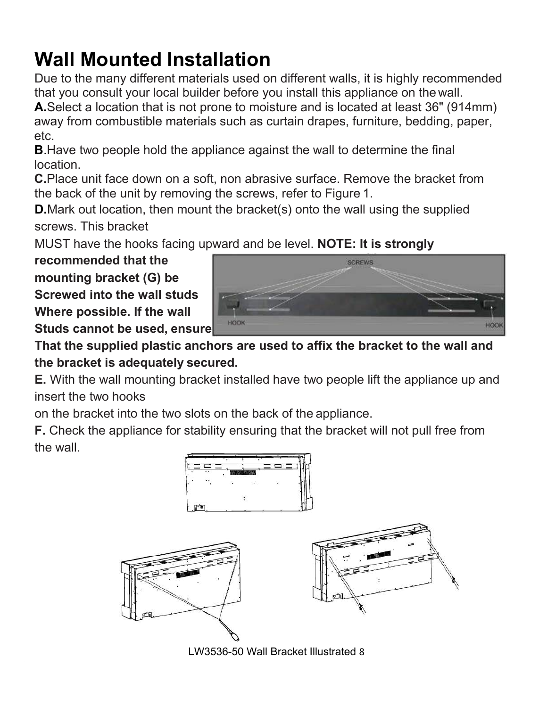Wall Mounted Installation<br>Due to the many different materials used on different walls, it is highly recommended<br>that you consult your local builder before you install this appliance on the wall.<br>A.Select a location that is Wall Mounted Installation<br>Due to the many different materials used on different walls, it is highly recommended<br>that you consult your local builder before you install this appliance on the wall.<br>A.Select a location that is Wall Mounted Installation<br>Due to the many different materials used on different walls, it is highly recommended<br>that you consult your local builder before you install this appliance on the wall.<br>A.Select a location that is **Wall Mounted Installation**<br>Due to the many different materials used on different walls, it is highly recommended<br>that you consult your local builder before you install this appliance on the wall.<br>A.Select a location that Wall Mounted Installation<br>Due to the many different materials used on different walls, it is highly recommended<br>that you consult your local builder before you install this appliance on the wall.<br>A.Select a location that is etc. **Wall Mounted Installation**<br>
Due to the many different materials used on different walls, it is highly recommended<br>
that you consult your local builder before you install this appliance on the wall.<br> **A.**Select a location **Wall Mounted Installation**<br>
Due to the many different materials used on different walls, it is highly recommended<br>
that you consult your local builder before you install this appliance on the wall.<br> **A.** Select a location Wall Mounted Installation<br>Due to the many different materials used on different walls, it is highly recommended<br>that you consult your local builder before you install this appliance on the wall.<br>A.Select a location that is **Wall Mounted Installation**<br>Due to the many different materials used on different walls, it is highly recommended<br>that you consult your local builder before you install this appliance on the wall.<br>**A.**Select a location tha **Wall Mounted Installation**<br>Due to the many different materials used on dift<br>that you consult your local builder before you in<br>A.Select a location that is not prone to moisture<br>away from combustible materials such as curta **IVERT INTOUTTEED INSTERTATION**<br>
Due to the many different walls, it is highly recommended<br>
Due to the many different materials used on different walls, it is highly recommended<br> **A.** Select a location that is not prone to **Fraction** when the state of the state of the state of the state of the state of that you consult your local builder before you install this away from combustible materials such as curtain drape etc.<br> **B.** Have two people **A.** Select a location that is not prone to moisture and is location away from combustible materials such as curtain drapes, etc.<br> **B.** Have two people hold the appliance against the wall to location.<br> **C.** Place unit face

location.

away from combustible materials such as curtain drapes,<br>etc.<br>**B**.Have two people hold the appliance against the wall to docation.<br>**C.**Place unit face down on a soft, non abrasive surface. R<br>the back of the unit by removing etc.<br> **B**. Have two people hold the appliance against the wall to docation.<br> **C.** Place unit face down on a soft, non abrasive surface. Re<br>
the back of the unit by removing the screws, refer to Figure<br> **D.** Mark out locati **B.** Have two people not the appliance against the wall to d<br>location.<br>**C.** Place unit face down on a soft, non abrasive surface. Re<br>the back of the unit by removing the screws, refer to Figure<br>**D.** Mark out location, then **Example 20** Screws. This bracket<br>screws. This bracket<br>MUST have the hooks facing upward and be lev<br>**recommended that the**<br>**mounting bracket (G) be**<br>**Screwed into the wall studs**<br>**Where possible. If the wall**<br>**Studs cannot** mounting bracket (G) be<br>Screwed into the wall studs<br>Where possible. If the wall<br>Studs cannot be used, ensure<br>That the supplied plastic anchors a<br>the bracket is adequately secured.<br>E. With the wall mounting bracket inst<br>ins







LW3536-50 Wall Bracket Illustrated 8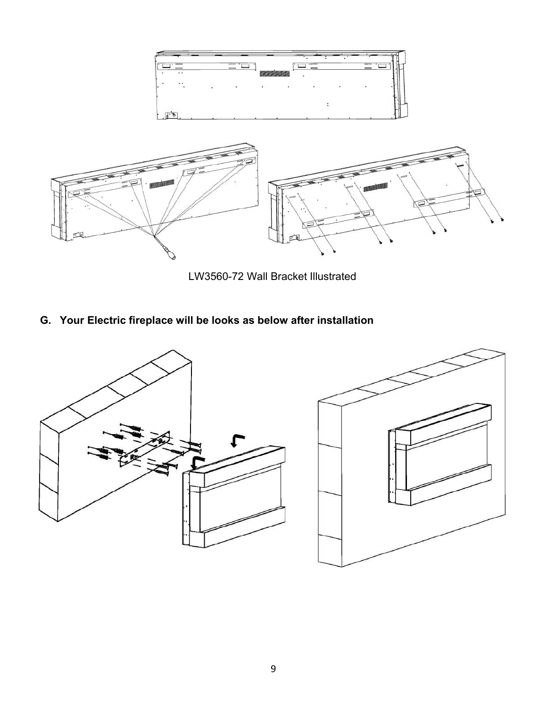



LW3560-72 Wall Bracket Illustrated

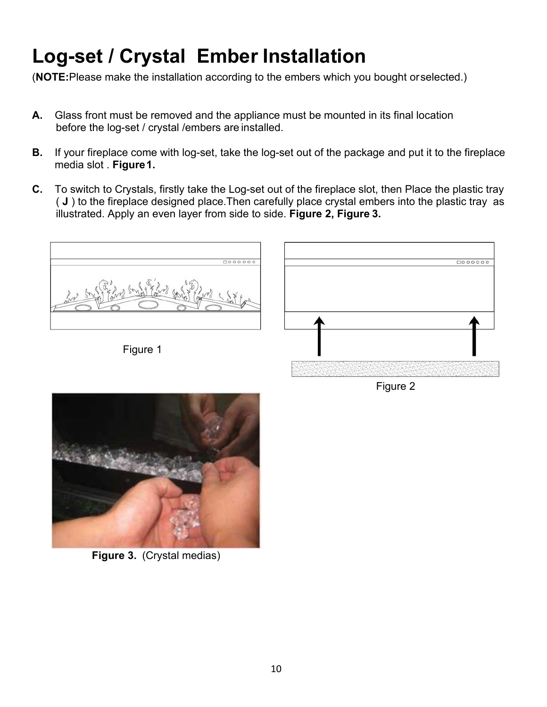- Log-set / Crystal Ember Installation<br>(NOTE:Please make the installation according to the embers which you bought orselected.)<br>A. Glass front must be removed and the appliance must be mounted in its final location<br>before th
- **Log-set / Crystal Ember Installation**<br>
(NOTE:Please make the installation according to the embers which you bought orselected.)<br> **A.** Glass front must be removed and the appliance must be mounted in its final location<br>
be **Log-set / Crystal Ember Installation**<br>
(NOTE:Please make the installation according to the embers which you bought orselected.)<br> **A.** Glass front must be removed and the appliance must be mounted in its final location<br>
be **g-set / Crystal Ember Installation**<br>E:Please make the installation according to the embers which you bough<br>Glass front must be removed and the appliance must be mounted in its fire<br>before the log-set / crystal /embers are
- **Log-set / Crystal Ember Installation**<br> **A.** Glass front must be removed and the appliance must be mounted in its final location<br> **A.** Glass front must be removed and the appliance must be mounted in its final location<br> **B g-set / Crystal Ember I**<br>FE:Please make the installation according to<br>Glass front must be removed and the applian<br>before the log-set / crystal /embers are install<br>If your fireplace come with log-set, take the lo<br>media slo **C.** To switch to Crystal Ember Installation<br>
A. Glass front must be removed and the appliance must be mounted in its final location<br>
before the log-set */* crystal /embers are installed.<br>
B. If your fireplace come with lo **g-set / Crystal Ember Installation**<br>
E:Please make the installation according to the embers which you bought or selected.)<br>
Glass front must be removed and the appliance must be mounted in its final location<br>
before the l **E:Please make the installation according to the embers which you bought orselected.)**<br> **Glass front must be removed and the appliance must be mounted in its final location**<br> **Define the log-set / crystal /embers are insta**



Figure 2

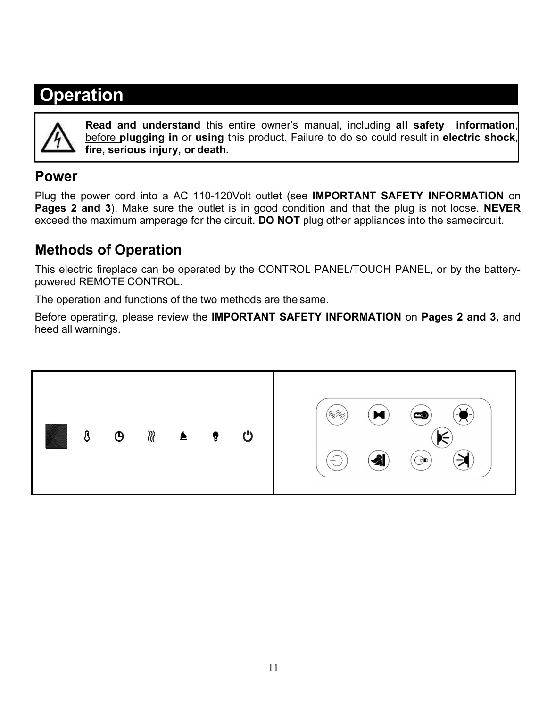## **Operation**



**Read and understand** this entire owner's manual, including **all safety information**, before plugging in or using this product. Failure to do so could result in **electric shock,**<br>fire, serious injury, or death.<br>Nower cord **fion**<br>**First**<br>**fire, serious injury, or death.**<br>**fire, serious injury, or death.**<br>**hower cord into a AC 110-120Volt outlet (see IMPORTA**<br>**nd 3**) Make sure the outlet is in good condition and the

## **Power**

Plug the power cord into a AC 110-120Volt outlet (see **IMPORTANT SAFETY INFORMATION** on **Pages 2 and 3**). Make sure the outlet is in good condition and that the plug is not loose. **NEVER** exceed the maximum amperage for the circuit. **DO NOT** plug other appliances into the samecircuit.

## **Methods of Operation**

This electric fireplace can be operated by the CONTROL PANEL/TOUCH PANEL, or by the batterypowered REMOTE CONTROL.

The operation and functions of the two methods are the same.

Before operating, please review the **IMPORTANT SAFETY INFORMATION** on **Pages 2 and 3,** and heed all warnings.

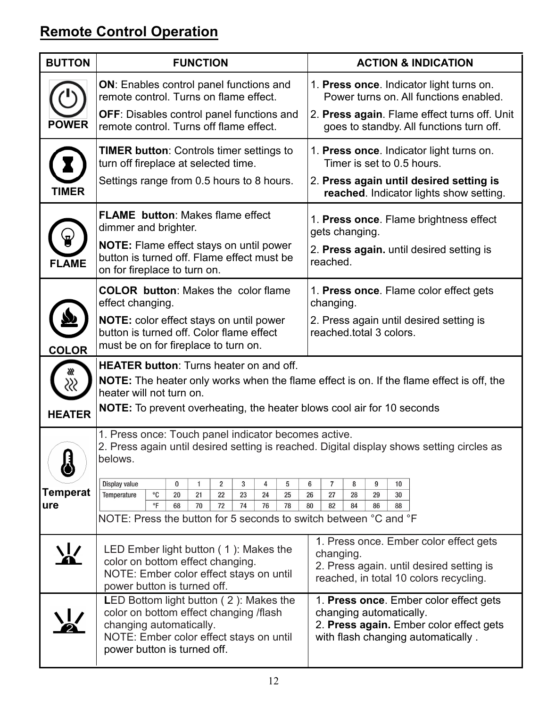## **Remote Control Operation**

|                               | <b>FUNCTION</b>                                                                                                                                                                                                                                                    | <b>ACTION &amp; INDICATION</b>                                                                                                                                |
|-------------------------------|--------------------------------------------------------------------------------------------------------------------------------------------------------------------------------------------------------------------------------------------------------------------|---------------------------------------------------------------------------------------------------------------------------------------------------------------|
| <b>POWER</b>                  | <b>ON:</b> Enables control panel functions and<br>remote control. Turns on flame effect.<br><b>OFF:</b> Disables control panel functions and<br>remote control. Turns off flame effect.                                                                            | 1. Press once. Indicator light turns on.<br>Power turns on. All functions enabled.<br>2. Press again. Flame effect turns off. Unit                            |
|                               | <b>TIMER button: Controls timer settings to</b><br>turn off fireplace at selected time.<br>Settings range from 0.5 hours to 8 hours.                                                                                                                               | goes to standby. All functions turn off.<br>1. Press once. Indicator light turns on.<br>Timer is set to 0.5 hours.<br>2. Press again until desired setting is |
| <b>TIMER</b>                  |                                                                                                                                                                                                                                                                    | reached. Indicator lights show setting.                                                                                                                       |
| <b>FLAME</b>                  | <b>FLAME</b> button: Makes flame effect<br>dimmer and brighter.<br><b>NOTE:</b> Flame effect stays on until power<br>button is turned off. Flame effect must be<br>on for fireplace to turn on.                                                                    | 1. Press once. Flame brightness effect<br>gets changing.<br>2. Press again. until desired setting is<br>reached.                                              |
|                               | <b>COLOR button: Makes the color flame</b><br>effect changing.<br><b>NOTE:</b> color effect stays on until power<br>button is turned off. Color flame effect<br>must be on for fireplace to turn on.                                                               | 1. Press once. Flame color effect gets<br>changing.<br>2. Press again until desired setting is<br>reached total 3 colors.                                     |
| <b>COLOR</b><br><b>HEATER</b> | <b>HEATER button:</b> Turns heater on and off.<br><b>NOTE:</b> The heater only works when the flame effect is on. If the flame effect is off, the<br>heater will not turn on.<br><b>NOTE:</b> To prevent overheating, the heater blows cool air for 10 seconds     |                                                                                                                                                               |
|                               | 1. Press once: Touch panel indicator becomes active.<br>2. Press again until desired setting is reached. Digital display shows setting circles as<br>belows.                                                                                                       |                                                                                                                                                               |
| <b>Temperat</b><br>ure        | Display value<br>$\bf{0}$<br>$\overline{2}$<br>3<br>4<br>5<br>$\mathbf{1}$<br>$^{\circ}$ C<br>22<br>23<br>24<br>Temperature<br>20<br>21<br>25<br>$\circ$ F<br>74<br>76<br>68<br>70<br>72<br>78<br>NOTE: Press the button for 5 seconds to switch between °C and °F | 6<br>7<br>8<br>9<br>10<br>26<br>27<br>28<br>29<br>30<br>80<br>82<br>84<br>86<br>88                                                                            |
|                               | LED Ember light button (1): Makes the<br>color on bottom effect changing.<br>NOTE: Ember color effect stays on until<br>power button is turned off.                                                                                                                | 1. Press once. Ember color effect gets<br>changing.<br>2. Press again. until desired setting is<br>reached, in total 10 colors recycling.                     |
|                               | LED Bottom light button (2): Makes the<br>color on bottom effect changing /flash<br>changing automatically.<br>NOTE: Ember color effect stays on until<br>power button is turned off.                                                                              | 1. Press once. Ember color effect gets<br>changing automatically.<br>2. Press again. Ember color effect gets<br>with flash changing automatically.            |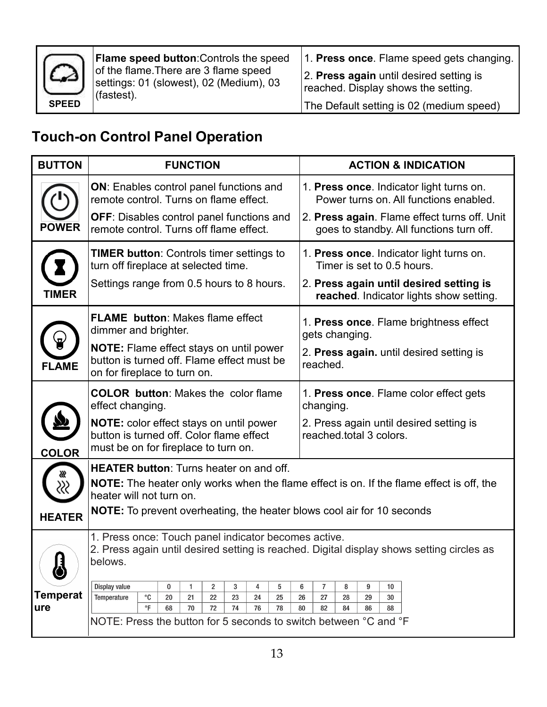

Flame speed button:Controls the speed<br>
of the flame.There are 3 flame speed<br>
settings: 01 (slowest), 02 (Medium), 03<br>
(fastest).<br>
The Default setting is 02 Flame speed button:Controls the speed<br>
of the flame.There are 3 flame speed<br>
settings: 01 (slowest), 02 (Medium), 03<br>
(fastest).<br>
The Default setting is Flame speed button:Controls the speed<br>
of the flame.There are 3 flame speed<br>
settings: 01 (slowest), 02 (Medium), 03<br>
(fastest).<br>
The Default setting is 02 (r<br>
Control Panel Oneration (fastest).

1. **Press once**. Flame speed gets changing.<br>2. **Press again** until desired setting is<br>reached. Display shows the setting.<br>The Default setting is 02 (medium speed) 1. **Press once**. Flame speed gets changing.<br>2. **Press again** until desired setting is<br>reached. Display shows the setting.<br>The Default setting is 02 (medium speed) 1. Press once. Flame speed gets changing.<br>
2. Press again until desired setting is<br>
reached. Display shows the setting.<br>
The Default setting is 02 (medium speed) 1. Press once. Flame speed gets changing.<br>
2. Press again until desired setting is<br>
reached. Display shows the setting.<br>
The Default setting is 02 (medium speed)

## **Touch-on Control Panel Operation**

|                 | Flame speed button: Controls the speed<br>of the flame. There are 3 flame speed                                                                              | 1. Press once. Flame speed gets changing.                                                |  |  |
|-----------------|--------------------------------------------------------------------------------------------------------------------------------------------------------------|------------------------------------------------------------------------------------------|--|--|
|                 | settings: 01 (slowest), 02 (Medium), 03<br>(fastest).                                                                                                        | 2. Press again until desired setting is<br>reached. Display shows the setting.           |  |  |
| <b>SPEED</b>    |                                                                                                                                                              | The Default setting is 02 (medium speed)                                                 |  |  |
|                 | <b>Touch-on Control Panel Operation</b>                                                                                                                      |                                                                                          |  |  |
| <b>BUTTON</b>   | <b>FUNCTION</b>                                                                                                                                              | <b>ACTION &amp; INDICATION</b>                                                           |  |  |
|                 | <b>ON:</b> Enables control panel functions and<br>remote control. Turns on flame effect.                                                                     | 1. Press once. Indicator light turns on.<br>Power turns on. All functions enabled.       |  |  |
| <b>POWER</b>    | <b>OFF:</b> Disables control panel functions and<br>remote control. Turns off flame effect.                                                                  | 2. Press again. Flame effect turns off. Unit<br>goes to standby. All functions turn off. |  |  |
|                 | <b>TIMER button:</b> Controls timer settings to<br>turn off fireplace at selected time.                                                                      | 1. Press once. Indicator light turns on.<br>Timer is set to 0.5 hours.                   |  |  |
| <b>TIMER</b>    | Settings range from 0.5 hours to 8 hours.                                                                                                                    | 2. Press again until desired setting is<br>reached. Indicator lights show setting.       |  |  |
|                 | <b>FLAME</b> button: Makes flame effect<br>dimmer and brighter.                                                                                              | 1. Press once. Flame brightness effect<br>gets changing.                                 |  |  |
| <b>FLAME</b>    | <b>NOTE:</b> Flame effect stays on until power<br>button is turned off. Flame effect must be<br>on for fireplace to turn on.                                 | 2. Press again. until desired setting is<br>reached.                                     |  |  |
|                 | <b>COLOR button: Makes the color flame</b><br>effect changing.                                                                                               | 1. Press once. Flame color effect gets<br>changing.                                      |  |  |
| <b>COLOR</b>    | <b>NOTE:</b> color effect stays on until power<br>button is turned off. Color flame effect<br>must be on for fireplace to turn on.                           | 2. Press again until desired setting is<br>reached total 3 colors.                       |  |  |
|                 | <b>HEATER button:</b> Turns heater on and off.                                                                                                               |                                                                                          |  |  |
|                 | <b>NOTE:</b> The heater only works when the flame effect is on. If the flame effect is off, the<br>heater will not turn on.                                  |                                                                                          |  |  |
| <b>HEATER</b>   | <b>NOTE:</b> To prevent overheating, the heater blows cool air for 10 seconds                                                                                |                                                                                          |  |  |
|                 | 1. Press once: Touch panel indicator becomes active.<br>2. Press again until desired setting is reached. Digital display shows setting circles as<br>belows. |                                                                                          |  |  |
| <b>Temperat</b> | Display value<br>2<br>$\bf{0}$<br>3<br>4<br>5<br>1<br>$^{\circ}$ C<br>Temperature<br>22<br>23<br>24<br>25<br>20<br>21                                        | 6<br>7<br>8<br>9<br>10<br>28<br>26<br>27<br>29<br>30                                     |  |  |
| ure             | $\mathsf{P}$<br>68<br>70<br>72<br>74<br>76<br>78                                                                                                             | 80<br>84<br>82<br>86<br>88                                                               |  |  |
|                 | NOTE: Press the button for 5 seconds to switch between °C and °F                                                                                             |                                                                                          |  |  |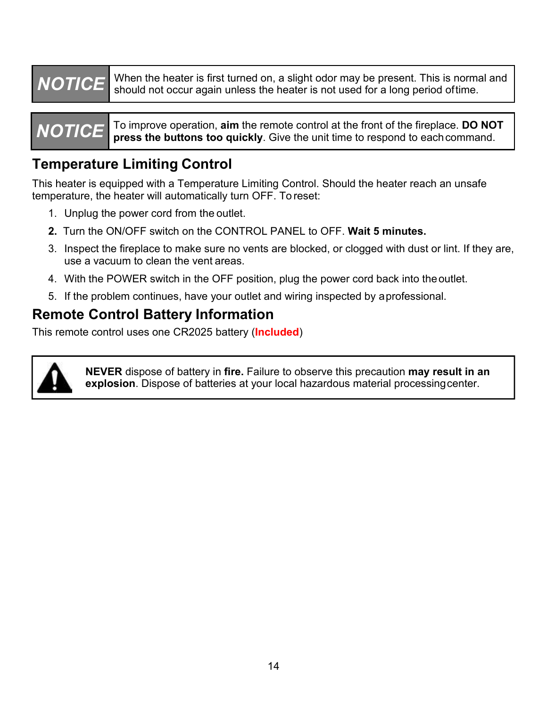**NOTICE**<br>
When the heater is first turned on, a slight odor may be present. This is normal and<br>
Should not occur again unless the heater is not used for a long period of time.<br>
NOTICE To improve operation, aim the remote c When the heater is first turned on, a slight odor may be present. This is normal and<br>should not occur again unless the heater is not used for a long period oftime.<br>To improve operation, aim the remote control at the front When the heater is first turned on, a slight odor may be present. This is normal and<br>should not occur again unless the heater is not used for a long period of time.<br>To improve operation, aim the remote control at the front

**NOTICE** When the heater is first turned on, a slight odor may be present. This is normal and should not occur again unless the heater is not used for a long period of time.<br> **NOTICE** To improve operation, aim the remote c

**TRICH When the heater is first turned on, a slight odor may be pre-**<br> **The should not occur again unless the heater is not used for a local of the should not occur again unless the heater is not used for a local**  $\blacksquare$  **To NOTICE** When the heater is first turned on, a slight odor may be present. This is normal and should not occur again unless the heater is not used for a long period of time.<br> **NOTICE** To improve operation, aim the remote c **NOTICE**<br> **KERT WHERE THE SET INCREMENTATION CONTINGLEM INCREDENTATIONS SHOWS SHOW AND THE SHOW OPERATURE TO IMPROVE THE SET INTEREM THE SET IN AUTOMOTICE THE PRESCRIPTION This heater is equipped with a Temperature Limitin** 

- 
- 
- The Unit of the heater is first turned on, a slight odor may be should not occur again unless the heater is not used for a form of press the buttons too quickly. Give the unit time to repress the buttons too quickly. Give **2. The Solution of Solution School School School School School School School School School School School School School School School School School School School School School School School School School School School Scho** 3. Inspect the fireplace to make sure no vents are blocked, or cloged of a long period ordine.<br> **Solution The fireplace to make sure in the fireplace of the fireplace DO NOT**<br> **Solution Section Fireplace to make sure limit** TICE To improve operation, aim the remote control at the from press the buttons too quickly. Give the unit time to recover that the value of the value of the value of the value of the value of the value of the value of the **EXECT TO UNITE TO UNITE TO UNITE THE POWER SHEARELY** Cive the unit time to respond to each command.<br> **IMPORTABLE CONTIFY THE CONTIFY CONTIFY** Sheater is equipped with a Temperature Limiting Control. Should the heater rea **IF THE PROME CONTROL CONTROL SERVE THE CONTROL SHOTER CONTROL**<br>
Sheater is equipped with a Temperature Limiting Control. Should the heater reach an unsafe<br>
perature, the heater will automatically turn OFF. To reset:<br>
1. U
- 
- 

## **Remote Control Battery Information**

This remote control uses one CR2025 battery (**Included**)



**NEVER** dispose of battery in **fire.** Failure to observe this precaution **may result in an explosion**. Dispose of batteries at your local hazardous material processing center.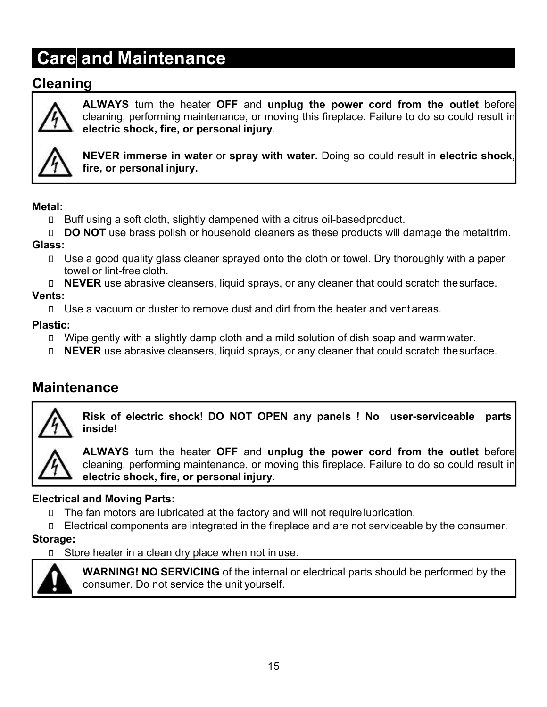## **Cleaning**



**Care and Maintenance**<br> **Care and Maintenance**<br> **ALWAYS** turn the heater OFF and unplug the power cord from<br> **CALWAYS** turn the heater OFF and unplug the power cord from<br>
electric shock, fire, or personal injury.<br> **A**NEVER **ALWAYS** turn the heater OFF and unplug the power cord from the outlet before cleaning, performing maintenance, or moving this fireplace. Failure to do so could result in electric shock, fire, or personal injury. **cind Maintenance**<br>**g**<br>**ALWAYS** turn the heater OFF and unplug the power cord from the outlet before<br>cleaning, performing maintenance, or moving this fireplace. Failure to do so could result in<br>electric shock, fire, or per **example 10 Maintenance Set of Frame in the power cord from the outlet before cleaning, performing maintenance, or moving this fireplace. Failure to do so could result in electric shock, fire, or personal injury.**<br>NEVER im **firm of Maintenance**<br>**g**<br>**ALWAYS** turn the heater OFF and unplug the<br>cleaning, performing maintenance, or moving this fi<br>**electric shock, fire, or personal injury.**<br>NEVER immerse in water or spray with water. E<br>fire, or p **EXECUTE SERVE AND SERVE CONDENSEDED CONDENSED CONDENSED CONDENSED CREAT CHANNANT SURVEY CHANNANT SURVER IMPORTAINING A SURVER IMPORT CONDENSITY CONDENSED CONDENSED FOR A SURVER IMPORT WELL TO BUT USING A CITY OF PERSONAL EXECUTE:** ALWAYS turn the heater OFF and unplug the power cord from the outlet before cleaning, performing maintenance, or moving this fireplace. Failure to do so could result in electric shock, fire, or personal injury.<br> **ALWAYS** turn the heater OFF and unplug the power cord from the outlet before<br>
deteric shock, fire, or personal injury.<br> **ALWAYS** turn enders are allowing this fireplace. Failure to do so could result in<br>
deteric shock, fi



## **Metal:**

- 
- **Glass:**
- cleaning, performing maintenance, or moving in electric shock, fire, or personal injury.<br>
NEVER immerse in water or spray with wat<br>
fire, or personal injury.<br>
Buff using a soft cloth, slightly dampened with a cit<br>
DO NOT u The electric shock, fire, or personal injury.<br>
NEVER immerse in water or spray with water. Doing so could result in electric shock,<br>
fire, or personal injury.<br>
I Buff using a soft cloth, slightly dampened with a citrus oi **THEVER immerse in water or spray with water**. Doing so could result in electric shock,<br> **EXECUTE:**<br> **EXECUTE:**<br> **EXECUTE:**<br> **EXECUTE:**<br> **EXECUTE:**<br> **EXECUTE:**<br> **EXECUTE:**<br> **EXECUTE:**<br> **EXECUTE:**<br> **EXECUTE:**<br> **EXECUTE:**<br> tal:<br>
□ Buff using a soft cloth, slightly dampened with a citrus oil-based product.<br>
□ DO NOT use brass polish or household cleaners as these products will damage the metal trim.<br>
ss:<br>
□ Use a good quality glass cleaner s **Interact Conduct Conduct Conduct Conduct**<br> **IDONOT** use brass polish or household cleaners as these products will damage the metaltrim.<br> **IDONOT** use a good quality glass cleaner sprayed onto the cloth or towel. Dry thor
	-

## **Vents:**

## **Plastic:**

- 
- 

## **Maintenance**



**inside!**



**Risk of electric shock! DO NOT OPEN any solution** of dish sapp and warmwater.<br> **Risk of electric shock** in the heater and direct and venture as equally with a slightly damp cloth and a mild solution of dish soap and war **ALWAYS** turn the heater of the power cord from the heater and venture of the set of the set of the set of the set of the set of the set of the set of the set of the set of the set of the set of the set of the set of the s a vacuum or duster to remove dust and dirt from the heater and ventareas.<br>
e gently with a slightly damp cloth and a mild solution of dish soap and warmwater.<br> **ER** use abrasive cleansers, liquid sprays, or any cleaner tha **electric shock, fire, or personal injury**.<br> **electric shock, fire, or personal injury**.<br> **Electrical and Moving Parts:**<br> **Electrical and Moving Parts:**<br> **Electrical and Moving Parts:**<br> **Electrical and Moving Parts:**<br> **Ele** The fan motors are lubricated at the factory and will not require lubrication.<br>
The fan motors are lubricated at the factory and will not require lubrication.<br>
The fan motors are lubricated at the factory and will not req **THE COMPONE COMPONE COMPONER ARE IN CONSUMBER 1999**<br> **ELECTRATE CONSUMERED CONSUMED ARE INTEGRATES (SET ARE IN THE FIRE CONSUMED ARE IN THE FIRE CONSUMERED SOLUTION CONSUMERED CONSUMERED CONSUMERED CONSUMERED CONSUMERED** The misidel Store fectric shock! DO NOT OPEN any panels ! No user-server inside!<br>
ALWAYS turn the heater OFF and unplug the power cord from the deaning, performing maintenance, or moving this fireplace. Failure to do sele **EXERCT SHOCK!** DO NOT OPEN any panels ! No user-serviceable parts<br> **ALWAYS** turn the heater OFF and unplug the power cord from the outlet before<br>
cleaning, performing maintenance, or moving this fireplace. Failure to do s inside!<br>ALWAYS turn the heater OFF and unplug the power cord fr<br>cleaning, performing maintenance, or moving this fireplace. Failure<br>electric shock, fire, or personal injury.<br>and Moving Parts:<br>fan motors are lubricated at t

- 
- 

### **Storage:**

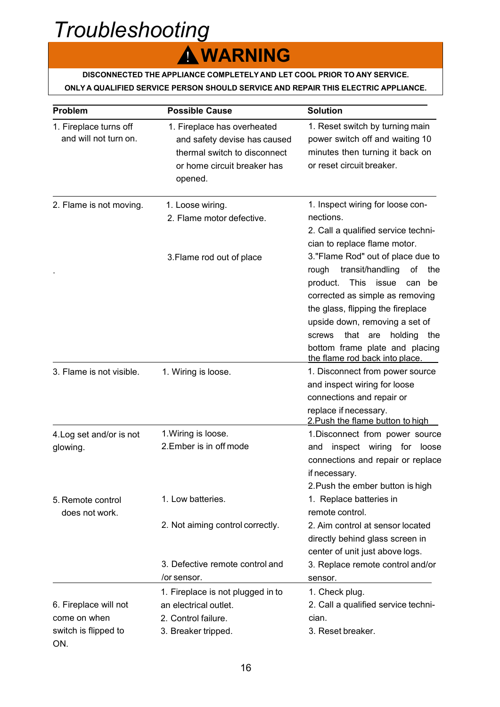# *Troubleshooting*

## ! **WARNING**

# **DISCONNECTED THE APPLIANCE COMPLETELY AND LET COOL PRIOR TO ANY SERVICE.**<br>TA QUALIFIED SERVICE PERSON SHOULD SERVICE AND REPAIR THIS ELECTRIC APPLIANCE.<br>The service person should service and repair this electric appliance

| DISCONNECTED THE APPLIANCE COMPLETELY AND LET COOL PRIOR TO ANY SERVICE.<br>ONLY A QUALIFIED SERVICE PERSON SHOULD SERVICE AND REPAIR THIS ELECTRIC APPLIANCE.<br><b>Possible Cause</b><br><b>Solution</b><br>1. Reset switch by turning main<br>1. Fireplace has overheated<br>and will not turn on.<br>power switch off and waiting 10<br>and safety devise has caused<br>minutes then turning it back on<br>thermal switch to disconnect<br>or reset circuit breaker.<br>or home circuit breaker has<br>opened.<br>1. Inspect wiring for loose con-<br>1. Loose wiring.<br>nections.<br>2. Flame motor defective.<br>2. Call a qualified service techni-<br>cian to replace flame motor.<br>3. Flame rod out of place<br>transit/handling<br>rough<br>This issue can be<br>product.<br>corrected as simple as removing<br>the glass, flipping the fireplace<br>upside down, removing a set of<br>screws<br>the flame rod back into place.<br>1. Disconnect from power source<br>1. Wiring is loose.<br>and inspect wiring for loose<br>connections and repair or<br>replace if necessary.<br>2. Push the flame button to high<br>1. Wiring is loose.<br>2.Ember is in off mode<br>if necessary.<br>2. Push the ember button is high<br>1. Low batteries.<br>1. Replace batteries in<br>remote control.<br>does not work.<br>2. Not aiming control correctly.<br>2. Aim control at sensor located<br>directly behind glass screen in |                                                                      | A WARNING |                                 |
|----------------------------------------------------------------------------------------------------------------------------------------------------------------------------------------------------------------------------------------------------------------------------------------------------------------------------------------------------------------------------------------------------------------------------------------------------------------------------------------------------------------------------------------------------------------------------------------------------------------------------------------------------------------------------------------------------------------------------------------------------------------------------------------------------------------------------------------------------------------------------------------------------------------------------------------------------------------------------------------------------------------------------------------------------------------------------------------------------------------------------------------------------------------------------------------------------------------------------------------------------------------------------------------------------------------------------------------------------------------------------------------------------------------------------------------|----------------------------------------------------------------------|-----------|---------------------------------|
|                                                                                                                                                                                                                                                                                                                                                                                                                                                                                                                                                                                                                                                                                                                                                                                                                                                                                                                                                                                                                                                                                                                                                                                                                                                                                                                                                                                                                                        |                                                                      |           |                                 |
|                                                                                                                                                                                                                                                                                                                                                                                                                                                                                                                                                                                                                                                                                                                                                                                                                                                                                                                                                                                                                                                                                                                                                                                                                                                                                                                                                                                                                                        | <b>Problem</b>                                                       |           |                                 |
| 3."Flame Rod" out of place due to<br>of the<br>that are holding the<br>bottom frame plate and placing<br>1. Disconnect from power source<br>and inspect wiring for loose<br>connections and repair or replace                                                                                                                                                                                                                                                                                                                                                                                                                                                                                                                                                                                                                                                                                                                                                                                                                                                                                                                                                                                                                                                                                                                                                                                                                          | 1. Fireplace turns off                                               |           |                                 |
|                                                                                                                                                                                                                                                                                                                                                                                                                                                                                                                                                                                                                                                                                                                                                                                                                                                                                                                                                                                                                                                                                                                                                                                                                                                                                                                                                                                                                                        | 2. Flame is not moving.                                              |           |                                 |
|                                                                                                                                                                                                                                                                                                                                                                                                                                                                                                                                                                                                                                                                                                                                                                                                                                                                                                                                                                                                                                                                                                                                                                                                                                                                                                                                                                                                                                        |                                                                      |           |                                 |
|                                                                                                                                                                                                                                                                                                                                                                                                                                                                                                                                                                                                                                                                                                                                                                                                                                                                                                                                                                                                                                                                                                                                                                                                                                                                                                                                                                                                                                        | 3. Flame is not visible.                                             |           |                                 |
|                                                                                                                                                                                                                                                                                                                                                                                                                                                                                                                                                                                                                                                                                                                                                                                                                                                                                                                                                                                                                                                                                                                                                                                                                                                                                                                                                                                                                                        | 4. Log set and/or is not<br>glowing.                                 |           |                                 |
|                                                                                                                                                                                                                                                                                                                                                                                                                                                                                                                                                                                                                                                                                                                                                                                                                                                                                                                                                                                                                                                                                                                                                                                                                                                                                                                                                                                                                                        | 5. Remote control                                                    |           |                                 |
| 3. Defective remote control and<br>3. Replace remote control and/or<br>/or sensor.<br>sensor.                                                                                                                                                                                                                                                                                                                                                                                                                                                                                                                                                                                                                                                                                                                                                                                                                                                                                                                                                                                                                                                                                                                                                                                                                                                                                                                                          |                                                                      |           | center of unit just above logs. |
| 1. Check plug.<br>1. Fireplace is not plugged in to<br>an electrical outlet.<br>2. Call a qualified service techni-<br>2. Control failure.<br>cian.<br>3. Reset breaker.<br>3. Breaker tripped.                                                                                                                                                                                                                                                                                                                                                                                                                                                                                                                                                                                                                                                                                                                                                                                                                                                                                                                                                                                                                                                                                                                                                                                                                                        | 6. Fireplace will not<br>come on when<br>switch is flipped to<br>ON. |           |                                 |